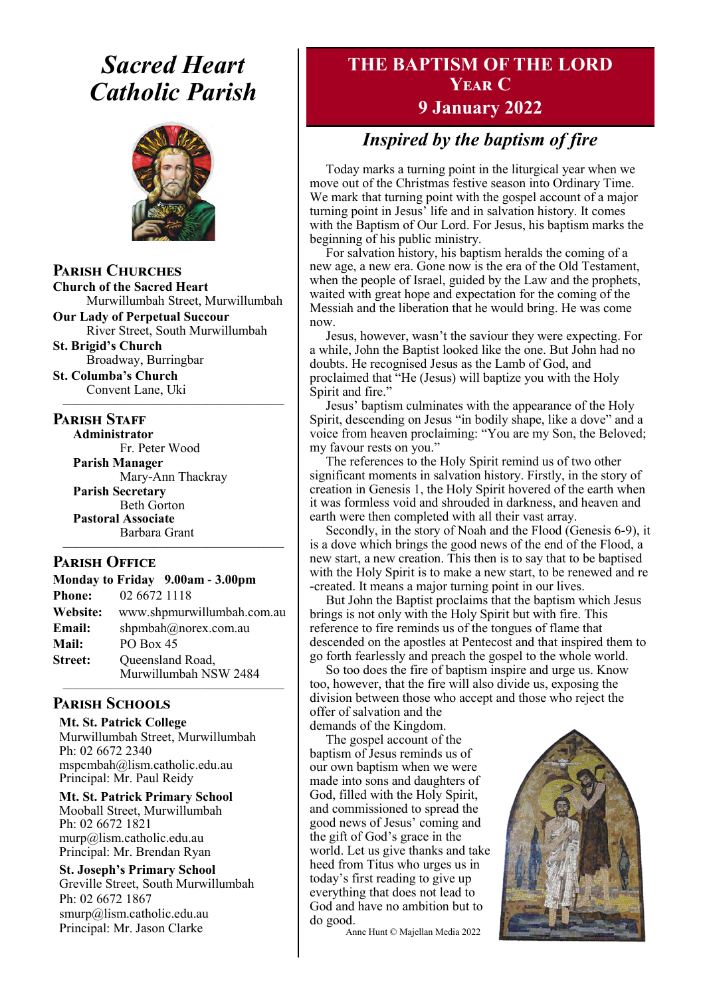## *Sacred Heart Catholic Parish*



**Parish Churches**

**Church of the Sacred Heart** Murwillumbah Street, Murwillumbah

**Our Lady of Perpetual Succour** River Street, South Murwillumbah

**St. Brigid's Church** Broadway, Burringbar

**St. Columba's Church** Convent Lane, Uki —————————————————

#### **PARISH STAFF**

**Administrator** Fr. Peter Wood

**Parish Manager** Mary-Ann Thackray **Parish Secretary** Beth Gorton **Pastoral Associate** Barbara Grant

#### **Parish Office**

**Monday to Friday 9.00am - 3.00pm Phone:** 02 6672 1118 **Website:** www.shpmurwillumbah.com.au Email: shpmbah@norex.com.au **Mail:** PO Box 45 **Street:** Oueensland Road, Murwillumbah NSW 2484

—————————————————

—————————————————

#### **Parish Schools**

**Mt. St. Patrick College** Murwillumbah Street, Murwillumbah Ph: 02 6672 2340 mspcmbah@lism.catholic.edu.au Principal: Mr. Paul Reidy

**Mt. St. Patrick Primary School** Mooball Street, Murwillumbah Ph: 02 6672 1821 murp@lism.catholic.edu.au Principal: Mr. Brendan Ryan

**St. Joseph's Primary School** Greville Street, South Murwillumbah Ph: 02 6672 1867 smurp@lism.catholic.edu.au Principal: Mr. Jason Clarke

## **THE BAPTISM OF THE LORD Year C 9 January 2022**

## *Inspired by the baptism of fire*

Today marks a turning point in the liturgical year when we move out of the Christmas festive season into Ordinary Time. We mark that turning point with the gospel account of a major turning point in Jesus' life and in salvation history. It comes with the Baptism of Our Lord. For Jesus, his baptism marks the beginning of his public ministry.

For salvation history, his baptism heralds the coming of a new age, a new era. Gone now is the era of the Old Testament, when the people of Israel, guided by the Law and the prophets, waited with great hope and expectation for the coming of the Messiah and the liberation that he would bring. He was come now.

Jesus, however, wasn't the saviour they were expecting. For a while, John the Baptist looked like the one. But John had no doubts. He recognised Jesus as the Lamb of God, and proclaimed that "He (Jesus) will baptize you with the Holy Spirit and fire."

Jesus' baptism culminates with the appearance of the Holy Spirit, descending on Jesus "in bodily shape, like a dove" and a voice from heaven proclaiming: "You are my Son, the Beloved; my favour rests on you."

The references to the Holy Spirit remind us of two other significant moments in salvation history. Firstly, in the story of creation in Genesis 1, the Holy Spirit hovered of the earth when it was formless void and shrouded in darkness, and heaven and earth were then completed with all their vast array.

Secondly, in the story of Noah and the Flood (Genesis 6-9), it is a dove which brings the good news of the end of the Flood, a new start, a new creation. This then is to say that to be baptised with the Holy Spirit is to make a new start, to be renewed and re -created. It means a major turning point in our lives.

But John the Baptist proclaims that the baptism which Jesus brings is not only with the Holy Spirit but with fire. This reference to fire reminds us of the tongues of flame that descended on the apostles at Pentecost and that inspired them to go forth fearlessly and preach the gospel to the whole world.

So too does the fire of baptism inspire and urge us. Know too, however, that the fire will also divide us, exposing the division between those who accept and those who reject the offer of salvation and the

demands of the Kingdom. The gospel account of the baptism of Jesus reminds us of our own baptism when we were made into sons and daughters of God, filled with the Holy Spirit, and commissioned to spread the good news of Jesus' coming and the gift of God's grace in the world. Let us give thanks and take heed from Titus who urges us in today's first reading to give up everything that does not lead to God and have no ambition but to do good.

Anne Hunt © Majellan Media 2022

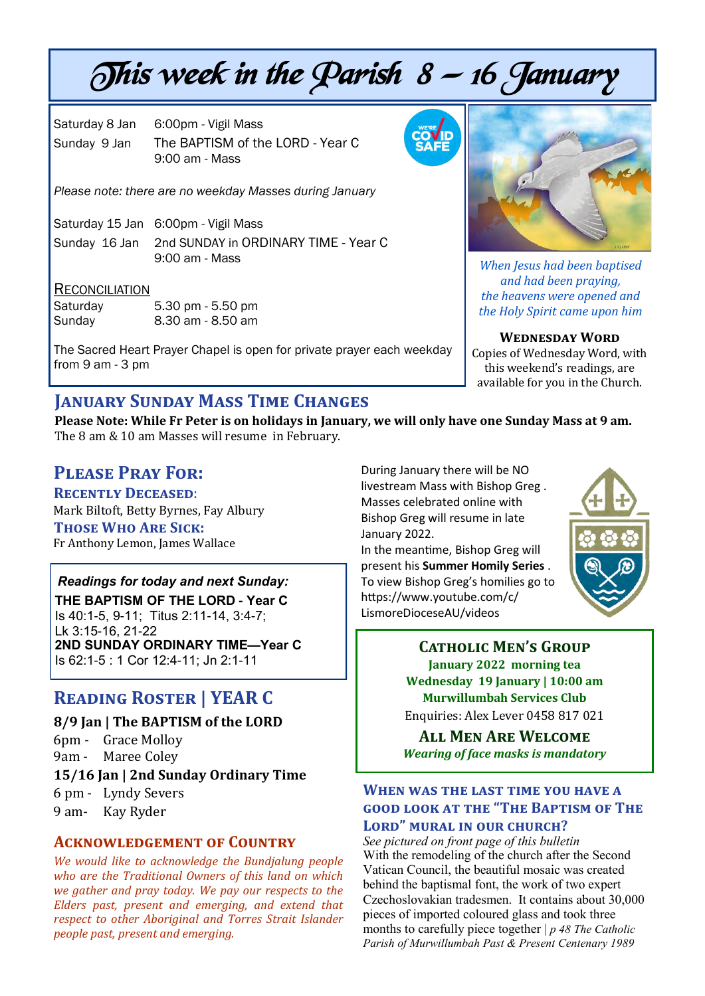# This week in the Parish  $8 - 16$  January

Saturday 8 Jan 6:00pm - Vigil Mass Sunday 9 Jan The BAPTISM of the LORD - Year C 9:00 am - Mass

*Please note: there are no weekday Masses during January*

Saturday 15 Jan 6:00pm - Vigil Mass

Sunday 16 Jan 2nd SUNDAY in ORDINARY TIME - Year C 9:00 am - Mass

#### **RECONCILIATION**

| Saturday | 5.30 pm - 5.50 pm |
|----------|-------------------|
| Sunday   | 8.30 am - 8.50 am |

The Sacred Heart Prayer Chapel is open for private prayer each weekday from 9 am - 3 pm

## **January Sunday Mass Time Changes**

**Please Note: While Fr Peter is on holidays in January, we will only have one Sunday Mass at 9 am.**  The 8 am & 10 am Masses will resume in February.

## **Please Pray For:**

**Recently Deceased**: Mark Biltoft, Betty Byrnes, Fay Albury **Those Who Are Sick:**  Fr Anthony Lemon, James Wallace

## *Readings for today and next Sunday:*

**THE BAPTISM OF THE LORD - Year C**  Is 40:1-5, 9-11; Titus 2:11-14, 3:4-7; Lk 3:15-16, 21-22 **2ND SUNDAY ORDINARY TIME—Year C** Is 62:1-5 : 1 Cor 12:4-11; Jn 2:1-11

## **Reading Roster | YEAR C**

#### **8/9 Jan | The BAPTISM of the LORD**

6pm - Grace Molloy 9am - Maree Coley

#### **15/16 Jan | 2nd Sunday Ordinary Time**

6 pm - Lyndy Severs

9 am- Kay Ryder

#### **Acknowledgement of Country**

*We would like to acknowledge the Bundjalung people who are the Traditional Owners of this land on which we gather and pray today. We pay our respects to the Elders past, present and emerging, and extend that respect to other Aboriginal and Torres Strait Islander people past, present and emerging.* 

During January there will be NO livestream Mass with Bishop Greg . Masses celebrated online with Bishop Greg will resume in late January 2022.

In the meantime, Bishop Greg will present his **Summer Homily Series** . To view Bishop Greg's homilies go to https://www.youtube.com/c/ LismoreDioceseAU/videos



**Catholic Men's Group January 2022 morning tea Wednesday 19 January | 10:00 am Murwillumbah Services Club** Enquiries: Alex Lever 0458 817 021

**All Men Are Welcome** *Wearing of face masks is mandatory* 

#### **When was the last time you have a good look at the "The Baptism of The Lord" mural in our church?**

*See pictured on front page of this bulletin* With the remodeling of the church after the Second Vatican Council, the beautiful mosaic was created behind the baptismal font, the work of two expert Czechoslovakian tradesmen. It contains about 30,000 pieces of imported coloured glass and took three months to carefully piece together | *p 48 The Catholic Parish of Murwillumbah Past & Present Centenary 1989* 





*When Jesus had been baptised and had been praying, the heavens were opened and the Holy Spirit came upon him*

**Wednesday Word** Copies of Wednesday Word, with

this weekend's readings, are available for you in the Church.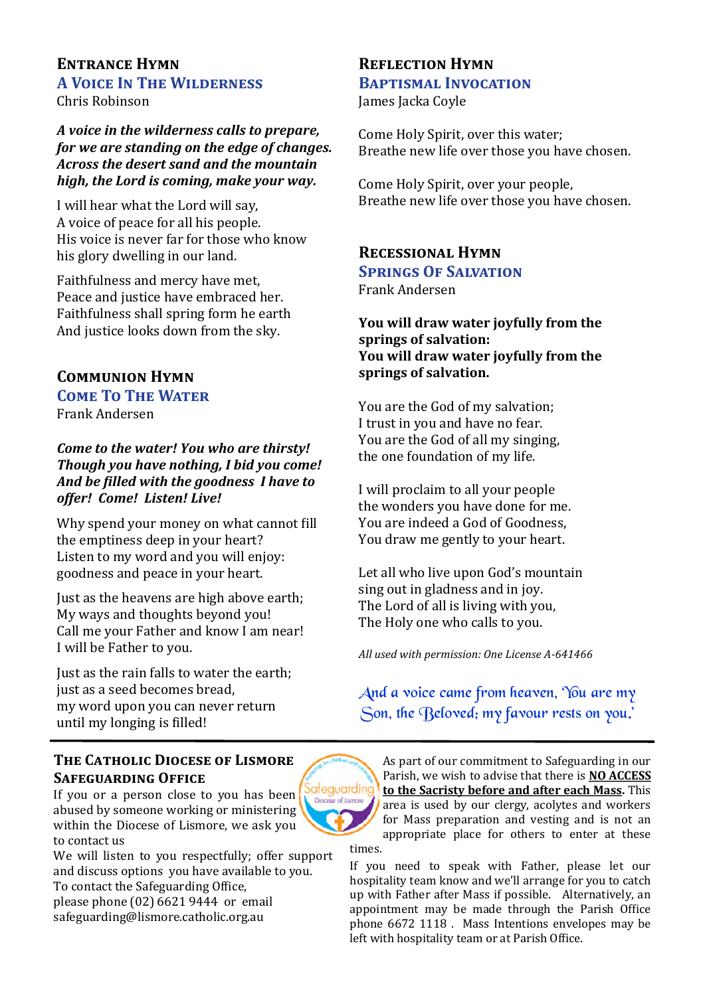## **Entrance Hymn A Voice In The Wilderness**

Chris Robinson

*A voice in the wilderness calls to prepare, for we are standing on the edge of changes. Across the desert sand and the mountain high, the Lord is coming, make your way.* 

I will hear what the Lord will say, A voice of peace for all his people. His voice is never far for those who know his glory dwelling in our land.

Faithfulness and mercy have met, Peace and justice have embraced her. Faithfulness shall spring form he earth And justice looks down from the sky.

## **Communion Hymn COME TO THE WATER**

Frank Andersen

*Come to the water! You who are thirsty! Though you have nothing, I bid you come! And be filled with the goodness I have to offer! Come! Listen! Live!* 

Why spend your money on what cannot fill the emptiness deep in your heart? Listen to my word and you will enjoy: goodness and peace in your heart.

Just as the heavens are high above earth; My ways and thoughts beyond you! Call me your Father and know I am near! I will be Father to you.

Just as the rain falls to water the earth; just as a seed becomes bread, my word upon you can never return until my longing is filled!

#### **The Catholic Diocese of Lismore Safeguarding Office**

If you or a person close to you has been abused by someone working or ministering within the Diocese of Lismore, we ask you to contact us

We will listen to you respectfully; offer support and discuss options you have available to you. To contact the Safeguarding Office, please phone (02) 6621 9444 or email safeguarding@lismore.catholic.org.au

#### **Reflection Hymn Baptismal Invocation**

James Jacka Coyle

Come Holy Spirit, over this water; Breathe new life over those you have chosen.

Come Holy Spirit, over your people, Breathe new life over those you have chosen.

#### **Recessional Hymn Springs Of Salvation**  Frank Andersen

**You will draw water joyfully from the springs of salvation: You will draw water joyfully from the springs of salvation.**

You are the God of my salvation; I trust in you and have no fear. You are the God of all my singing, the one foundation of my life.

I will proclaim to all your people the wonders you have done for me. You are indeed a God of Goodness, You draw me gently to your heart.

Let all who live upon God's mountain sing out in gladness and in joy. The Lord of all is living with you, The Holy one who calls to you.

*All used with permission: One License A-641466*

And a voice came from heaven, 'You are my Son, the Beloved; my favour rests on you.'

iafeguardina examati lo ea

As part of our commitment to Safeguarding in our Parish, we wish to advise that there is **NO ACCESS to the Sacristy before and after each Mass.** This area is used by our clergy, acolytes and workers for Mass preparation and vesting and is not an appropriate place for others to enter at these times.

If you need to speak with Father, please let our hospitality team know and we'll arrange for you to catch up with Father after Mass if possible. Alternatively, an appointment may be made through the Parish Office phone 6672 1118 . Mass Intentions envelopes may be left with hospitality team or at Parish Office.